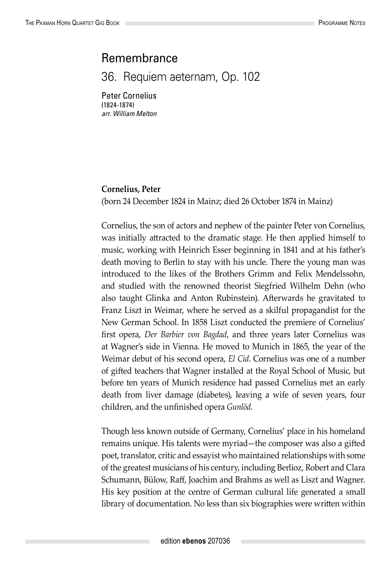## Remembrance

36. Requiem aeternam, Op. 102

Peter Cornelius (1824-1874) *arr. William Melton*

## **Cornelius, Peter**

(born 24 December 1824 in Mainz; died 26 October 1874 in Mainz)

Cornelius, the son of actors and nephew of the painter Peter von Cornelius, was initially attracted to the dramatic stage. He then applied himself to music, working with Heinrich Esser beginning in 1841 and at his father's death moving to Berlin to stay with his uncle. There the young man was introduced to the likes of the Brothers Grimm and Felix Mendelssohn, and studied with the renowned theorist Siegfried Wilhelm Dehn (who also taught Glinka and Anton Rubinstein). Afterwards he gravitated to Franz Liszt in Weimar, where he served as a skilful propagandist for the New German School. In 1858 Liszt conducted the premiere of Cornelius' first opera, *Der Barbier von Bagdad*, and three years later Cornelius was at Wagner's side in Vienna. He moved to Munich in 1865, the year of the Weimar debut of his second opera, *El Cid*. Cornelius was one of a number of gifted teachers that Wagner installed at the Royal School of Music, but before ten years of Munich residence had passed Cornelius met an early death from liver damage (diabetes), leaving a wife of seven years, four children, and the unfinished opera *Gunlöd*.

Though less known outside of Germany, Cornelius' place in his homeland remains unique. His talents were myriad—the composer was also a gifted poet, translator, critic and essayist who maintained relationships with some of the greatest musicians of his century, including Berlioz, Robert and Clara Schumann, Bülow, Raff, Joachim and Brahms as well as Liszt and Wagner. His key position at the centre of German cultural life generated a small library of documentation. No less than six biographies were written within